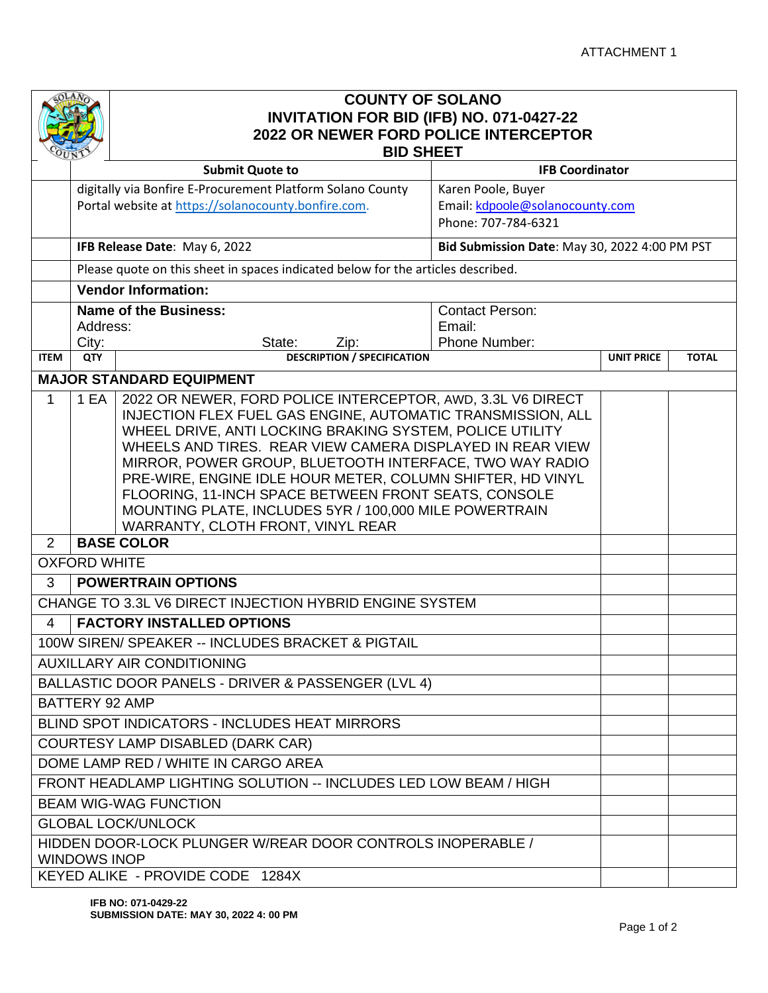

## **COUNTY OF SOLANO INVITATION FOR BID (IFB) NO. 071-0427-22 2022 OR NEWER FORD POLICE INTERCEPTOR BID SHEET**

|                                                                  | マロハン                                                                                                                               | <b>Submit Quote to</b>                                                           | <b>IFB Coordinator</b>                        |                   |              |  |  |  |
|------------------------------------------------------------------|------------------------------------------------------------------------------------------------------------------------------------|----------------------------------------------------------------------------------|-----------------------------------------------|-------------------|--------------|--|--|--|
|                                                                  |                                                                                                                                    | digitally via Bonfire E-Procurement Platform Solano County                       | Karen Poole, Buyer                            |                   |              |  |  |  |
|                                                                  | Portal website at https://solanocounty.bonfire.com.<br>Email: kdpoole@solanocounty.com                                             |                                                                                  |                                               |                   |              |  |  |  |
|                                                                  |                                                                                                                                    | Phone: 707-784-6321                                                              |                                               |                   |              |  |  |  |
|                                                                  |                                                                                                                                    | IFB Release Date: May 6, 2022                                                    | Bid Submission Date: May 30, 2022 4:00 PM PST |                   |              |  |  |  |
|                                                                  |                                                                                                                                    | Please quote on this sheet in spaces indicated below for the articles described. |                                               |                   |              |  |  |  |
|                                                                  | <b>Vendor Information:</b>                                                                                                         |                                                                                  |                                               |                   |              |  |  |  |
|                                                                  | <b>Name of the Business:</b><br><b>Contact Person:</b>                                                                             |                                                                                  |                                               |                   |              |  |  |  |
|                                                                  | Address:                                                                                                                           |                                                                                  | Email:                                        |                   |              |  |  |  |
| <b>ITEM</b>                                                      | City:<br>QTY                                                                                                                       | State:<br>Zip:<br><b>DESCRIPTION / SPECIFICATION</b>                             | Phone Number:                                 | <b>UNIT PRICE</b> | <b>TOTAL</b> |  |  |  |
|                                                                  |                                                                                                                                    |                                                                                  |                                               |                   |              |  |  |  |
| <b>MAJOR STANDARD EQUIPMENT</b>                                  |                                                                                                                                    |                                                                                  |                                               |                   |              |  |  |  |
| 1                                                                | 2022 OR NEWER, FORD POLICE INTERCEPTOR, AWD, 3.3L V6 DIRECT<br>1 EA<br>INJECTION FLEX FUEL GAS ENGINE, AUTOMATIC TRANSMISSION, ALL |                                                                                  |                                               |                   |              |  |  |  |
|                                                                  |                                                                                                                                    | WHEEL DRIVE, ANTI LOCKING BRAKING SYSTEM, POLICE UTILITY                         |                                               |                   |              |  |  |  |
|                                                                  |                                                                                                                                    | WHEELS AND TIRES. REAR VIEW CAMERA DISPLAYED IN REAR VIEW                        |                                               |                   |              |  |  |  |
|                                                                  |                                                                                                                                    | MIRROR, POWER GROUP, BLUETOOTH INTERFACE, TWO WAY RADIO                          |                                               |                   |              |  |  |  |
|                                                                  |                                                                                                                                    | PRE-WIRE, ENGINE IDLE HOUR METER, COLUMN SHIFTER, HD VINYL                       |                                               |                   |              |  |  |  |
|                                                                  |                                                                                                                                    | FLOORING, 11-INCH SPACE BETWEEN FRONT SEATS, CONSOLE                             |                                               |                   |              |  |  |  |
|                                                                  |                                                                                                                                    | MOUNTING PLATE, INCLUDES 5YR / 100,000 MILE POWERTRAIN                           |                                               |                   |              |  |  |  |
| 2                                                                |                                                                                                                                    | WARRANTY, CLOTH FRONT, VINYL REAR<br><b>BASE COLOR</b>                           |                                               |                   |              |  |  |  |
|                                                                  | <b>OXFORD WHITE</b>                                                                                                                |                                                                                  |                                               |                   |              |  |  |  |
| <b>POWERTRAIN OPTIONS</b><br>3                                   |                                                                                                                                    |                                                                                  |                                               |                   |              |  |  |  |
| CHANGE TO 3.3L V6 DIRECT INJECTION HYBRID ENGINE SYSTEM          |                                                                                                                                    |                                                                                  |                                               |                   |              |  |  |  |
| <b>FACTORY INSTALLED OPTIONS</b><br>4                            |                                                                                                                                    |                                                                                  |                                               |                   |              |  |  |  |
| 100W SIREN/ SPEAKER -- INCLUDES BRACKET & PIGTAIL                |                                                                                                                                    |                                                                                  |                                               |                   |              |  |  |  |
| <b>AUXILLARY AIR CONDITIONING</b>                                |                                                                                                                                    |                                                                                  |                                               |                   |              |  |  |  |
| BALLASTIC DOOR PANELS - DRIVER & PASSENGER (LVL 4)               |                                                                                                                                    |                                                                                  |                                               |                   |              |  |  |  |
| <b>BATTERY 92 AMP</b>                                            |                                                                                                                                    |                                                                                  |                                               |                   |              |  |  |  |
| <b>BLIND SPOT INDICATORS - INCLUDES HEAT MIRRORS</b>             |                                                                                                                                    |                                                                                  |                                               |                   |              |  |  |  |
| <b>COURTESY LAMP DISABLED (DARK CAR)</b>                         |                                                                                                                                    |                                                                                  |                                               |                   |              |  |  |  |
|                                                                  | DOME LAMP RED / WHITE IN CARGO AREA                                                                                                |                                                                                  |                                               |                   |              |  |  |  |
| FRONT HEADLAMP LIGHTING SOLUTION -- INCLUDES LED LOW BEAM / HIGH |                                                                                                                                    |                                                                                  |                                               |                   |              |  |  |  |
| <b>BEAM WIG-WAG FUNCTION</b>                                     |                                                                                                                                    |                                                                                  |                                               |                   |              |  |  |  |
| <b>GLOBAL LOCK/UNLOCK</b>                                        |                                                                                                                                    |                                                                                  |                                               |                   |              |  |  |  |
|                                                                  | HIDDEN DOOR-LOCK PLUNGER W/REAR DOOR CONTROLS INOPERABLE /<br><b>WINDOWS INOP</b>                                                  |                                                                                  |                                               |                   |              |  |  |  |
| KEYED ALIKE - PROVIDE CODE 1284X                                 |                                                                                                                                    |                                                                                  |                                               |                   |              |  |  |  |